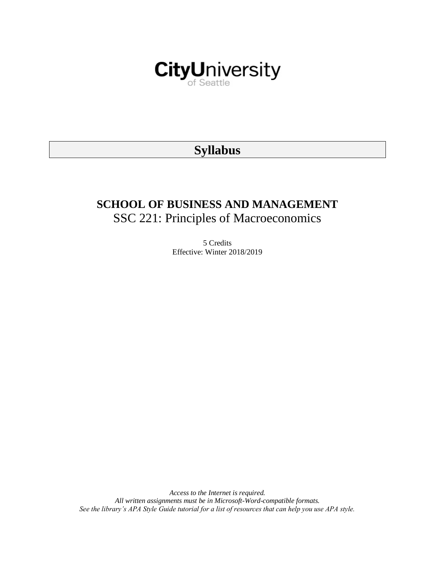

# **Syllabus**

# **SCHOOL OF BUSINESS AND MANAGEMENT** SSC 221: Principles of Macroeconomics

5 Credits Effective: Winter 2018/2019

*Access to the Internet is required. All written assignments must be in Microsoft-Word-compatible formats. See the library's APA Style Guide tutorial for a list of resources that can help you use APA style.*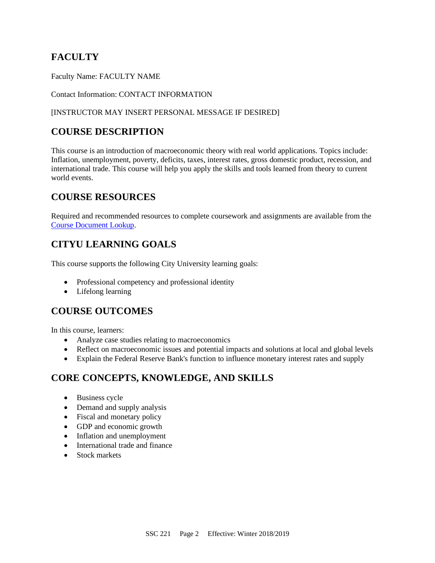# **FACULTY**

Faculty Name: FACULTY NAME

Contact Information: CONTACT INFORMATION

#### [INSTRUCTOR MAY INSERT PERSONAL MESSAGE IF DESIRED]

# **COURSE DESCRIPTION**

This course is an introduction of macroeconomic theory with real world applications. Topics include: Inflation, unemployment, poverty, deficits, taxes, interest rates, gross domestic product, recession, and international trade. This course will help you apply the skills and tools learned from theory to current world events.

# **COURSE RESOURCES**

Required and recommended resources to complete coursework and assignments are available from the [Course Document Lookup.](https://documents.cityu.edu/coursedocumentlookup.aspx)

# **CITYU LEARNING GOALS**

This course supports the following City University learning goals:

- Professional competency and professional identity
- Lifelong learning

### **COURSE OUTCOMES**

In this course, learners:

- Analyze case studies relating to macroeconomics
- Reflect on macroeconomic issues and potential impacts and solutions at local and global levels
- Explain the Federal Reserve Bank's function to influence monetary interest rates and supply

# **CORE CONCEPTS, KNOWLEDGE, AND SKILLS**

- Business cycle
- Demand and supply analysis
- Fiscal and monetary policy
- GDP and economic growth
- Inflation and unemployment
- International trade and finance
- Stock markets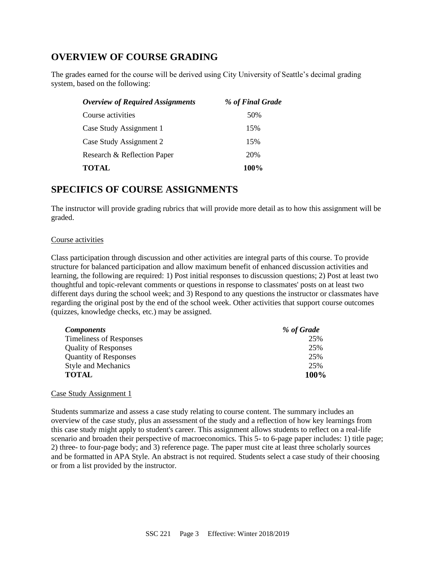# **OVERVIEW OF COURSE GRADING**

The grades earned for the course will be derived using City University of Seattle's decimal grading system, based on the following:

| <b>Overview of Required Assignments</b> | % of Final Grade |
|-----------------------------------------|------------------|
| Course activities                       | 50%              |
| Case Study Assignment 1                 | 15%              |
| Case Study Assignment 2                 | 15%              |
| Research & Reflection Paper             | 20%              |
| <b>TOTAL</b>                            | 100%             |

## **SPECIFICS OF COURSE ASSIGNMENTS**

The instructor will provide grading rubrics that will provide more detail as to how this assignment will be graded.

#### Course activities

Class participation through discussion and other activities are integral parts of this course. To provide structure for balanced participation and allow maximum benefit of enhanced discussion activities and learning, the following are required: 1) Post initial responses to discussion questions; 2) Post at least two thoughtful and topic-relevant comments or questions in response to classmates' posts on at least two different days during the school week; and 3) Respond to any questions the instructor or classmates have regarding the original post by the end of the school week. Other activities that support course outcomes (quizzes, knowledge checks, etc.) may be assigned.

| <i>Components</i>              | % of Grade |
|--------------------------------|------------|
| <b>Timeliness of Responses</b> | 25%        |
| <b>Quality of Responses</b>    | 25%        |
| <b>Quantity of Responses</b>   | 25%        |
| <b>Style and Mechanics</b>     | 25%        |
| <b>TOTAL</b>                   | 100%       |

#### Case Study Assignment 1

Students summarize and assess a case study relating to course content. The summary includes an overview of the case study, plus an assessment of the study and a reflection of how key learnings from this case study might apply to student's career. This assignment allows students to reflect on a real-life scenario and broaden their perspective of macroeconomics. This 5- to 6-page paper includes: 1) title page; 2) three- to four-page body; and 3) reference page. The paper must cite at least three scholarly sources and be formatted in APA Style. An abstract is not required. Students select a case study of their choosing or from a list provided by the instructor.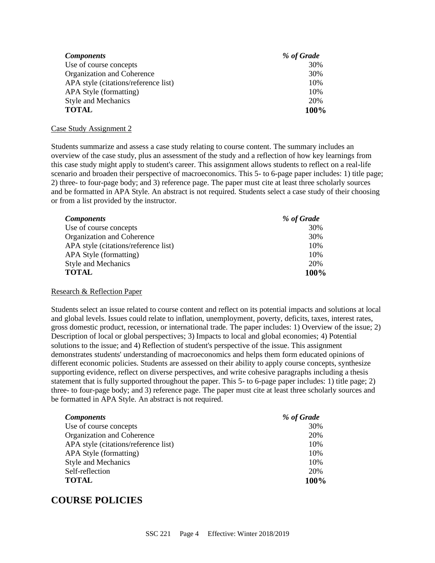| <b>Components</b>                    | % of Grade |
|--------------------------------------|------------|
| Use of course concepts               | 30%        |
| Organization and Coherence           | 30%        |
| APA style (citations/reference list) | 10%        |
| APA Style (formatting)               | 10%        |
| <b>Style and Mechanics</b>           | 20%        |
| <b>TOTAL</b>                         | 100%       |

#### Case Study Assignment 2

Students summarize and assess a case study relating to course content. The summary includes an overview of the case study, plus an assessment of the study and a reflection of how key learnings from this case study might apply to student's career. This assignment allows students to reflect on a real-life scenario and broaden their perspective of macroeconomics. This 5- to 6-page paper includes: 1) title page; 2) three- to four-page body; and 3) reference page. The paper must cite at least three scholarly sources and be formatted in APA Style. An abstract is not required. Students select a case study of their choosing or from a list provided by the instructor.

| <b>Components</b>                    | % of Grade |
|--------------------------------------|------------|
| Use of course concepts               | 30%        |
| Organization and Coherence           | 30%        |
| APA style (citations/reference list) | 10%        |
| APA Style (formatting)               | 10%        |
| <b>Style and Mechanics</b>           | 20%        |
| <b>TOTAL</b>                         | 100%       |

#### Research & Reflection Paper

Students select an issue related to course content and reflect on its potential impacts and solutions at local and global levels. Issues could relate to inflation, unemployment, poverty, deficits, taxes, interest rates, gross domestic product, recession, or international trade. The paper includes: 1) Overview of the issue; 2) Description of local or global perspectives; 3) Impacts to local and global economies; 4) Potential solutions to the issue; and 4) Reflection of student's perspective of the issue. This assignment demonstrates students' understanding of macroeconomics and helps them form educated opinions of different economic policies. Students are assessed on their ability to apply course concepts, synthesize supporting evidence, reflect on diverse perspectives, and write cohesive paragraphs including a thesis statement that is fully supported throughout the paper. This 5- to 6-page paper includes: 1) title page; 2) three- to four-page body; and 3) reference page. The paper must cite at least three scholarly sources and be formatted in APA Style. An abstract is not required.

| <b>Components</b>                    | % of Grade |
|--------------------------------------|------------|
| Use of course concepts               | 30%        |
| Organization and Coherence           | 20%        |
| APA style (citations/reference list) | 10%        |
| APA Style (formatting)               | 10%        |
| <b>Style and Mechanics</b>           | 10%        |
| Self-reflection                      | 20%        |
| <b>TOTAL</b>                         | 100%       |

### **COURSE POLICIES**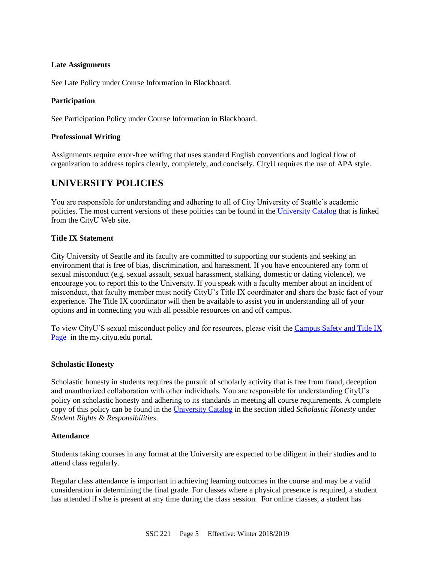#### **Late Assignments**

See Late Policy under Course Information in Blackboard.

#### **Participation**

See Participation Policy under Course Information in Blackboard.

#### **Professional Writing**

Assignments require error-free writing that uses standard English conventions and logical flow of organization to address topics clearly, completely, and concisely. CityU requires the use of APA style.

### **UNIVERSITY POLICIES**

You are responsible for understanding and adhering to all of City University of Seattle's academic policies. The most current versions of these policies can be found in the [University Catalog](http://www.cityu.edu/catalog/) that is linked from the CityU Web site.

#### **Title IX Statement**

City University of Seattle and its faculty are committed to supporting our students and seeking an environment that is free of bias, discrimination, and harassment. If you have encountered any form of sexual misconduct (e.g. sexual assault, sexual harassment, stalking, domestic or dating violence), we encourage you to report this to the University. If you speak with a faculty member about an incident of misconduct, that faculty member must notify CityU's Title IX coordinator and share the basic fact of your experience. The Title IX coordinator will then be available to assist you in understanding all of your options and in connecting you with all possible resources on and off campus.

To view CityU'S sexual misconduct policy and for resources, please visit th[e Campus Safety and Title IX](https://goo.gl/NJVVvh)  [Page](https://goo.gl/NJVVvh) in the my.cityu.edu portal.

#### **Scholastic Honesty**

Scholastic honesty in students requires the pursuit of scholarly activity that is free from fraud, deception and unauthorized collaboration with other individuals. You are responsible for understanding CityU's policy on scholastic honesty and adhering to its standards in meeting all course requirements. A complete copy of this policy can be found in the [University Catalog](http://www.cityu.edu/catalog/) in the section titled *Scholastic Honesty* under *Student Rights & Responsibilities*.

#### **Attendance**

Students taking courses in any format at the University are expected to be diligent in their studies and to attend class regularly.

Regular class attendance is important in achieving learning outcomes in the course and may be a valid consideration in determining the final grade. For classes where a physical presence is required, a student has attended if s/he is present at any time during the class session. For online classes, a student has